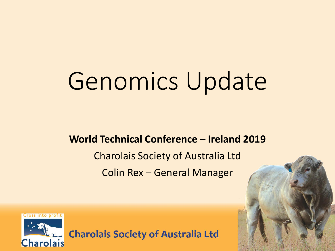# Genomics Update

#### **World Technical Conference – Ireland 2019**

Charolais Society of Australia Ltd Colin Rex – General Manager

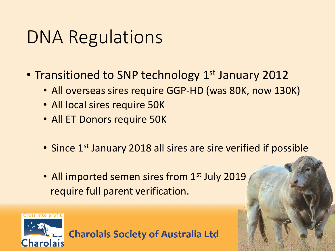#### DNA Regulations

- Transitioned to SNP technology 1<sup>st</sup> January 2012
	- All overseas sires require GGP-HD (was 80K, now 130K)
	- All local sires require 50K
	- All ET Donors require 50K
	- Since 1<sup>st</sup> January 2018 all sires are sire verified if possible
	- All imported semen sires from 1<sup>st</sup> July 2019 require full parent verification.

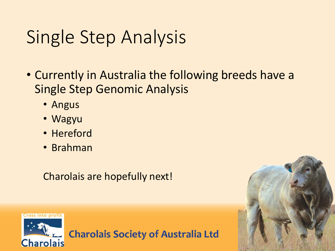## Single Step Analysis

- Currently in Australia the following breeds have a Single Step Genomic Analysis
	- Angus
	- Wagyu
	- Hereford
	- Brahman

Charolais are hopefully next!



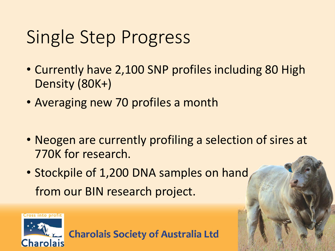### Single Step Progress

- Currently have 2,100 SNP profiles including 80 High Density (80K+)
- Averaging new 70 profiles a month
- Neogen are currently profiling a selection of sires at 770K for research.
- Stockpile of 1,200 DNA samples on hand from our BIN research project.

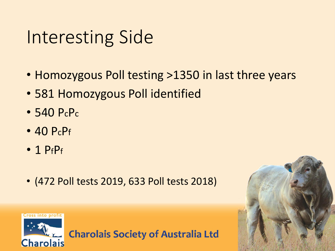#### Interesting Side

- Homozygous Poll testing >1350 in last three years
- 581 Homozygous Poll identified
- 540 PcPc
- 40 PcPf
- $\cdot$  1 PfPf
- (472 Poll tests 2019, 633 Poll tests 2018)



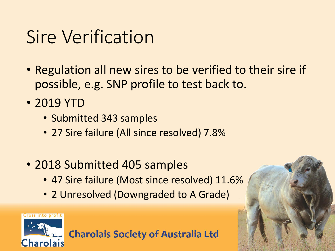#### Sire Verification

- Regulation all new sires to be verified to their sire if possible, e.g. SNP profile to test back to.
- 2019 YTD
	- Submitted 343 samples
	- 27 Sire failure (All since resolved) 7.8%
- 2018 Submitted 405 samples
	- 47 Sire failure (Most since resolved) 11.6%
	- 2 Unresolved (Downgraded to A Grade)

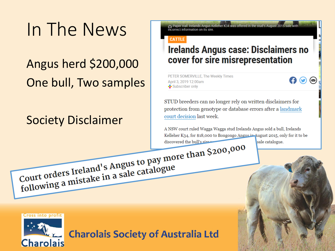## In The News

#### Angus herd \$200,000 One bull, Two samples

#### Society Disclaimer

Paper trail: Irelands Angus Kelleher K34 was offered in the stud's August 2015 sale with incorrect information on its sire.

#### **CATTLE**

#### **Irelands Angus case: Disclaimers no** cover for sire misrepresentation

PETER SOMERVILLE, The Weekly Times April 3, 2019 12:00am Subscriber only

 $\boldsymbol{\Theta} \boldsymbol{\Theta} \boldsymbol{\Theta}$ 

STUD breeders can no longer rely on written disclaimers for protection from genotype or database errors after a landmark court decision last week.

A NSW court ruled Wagga Wagga stud Irelands Angus sold a bull, Irelands Kelleher K34, for \$18,000 to Bongongo Angus in August 2015, only for it to be sale catalogue. discovered the bull's sire

Court orders Ireland's Angus to pay more than \$200,000 Court orders Ireland's Angus to pay mot

**Cross into profit Charolais**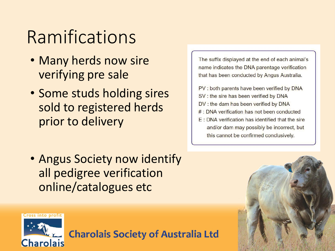## Ramifications

- Many herds now sire verifying pre sale
- Some studs holding sires sold to registered herds prior to delivery

• Angus Society now identify all pedigree verification online/catalogues etc

The suffix displayed at the end of each animal's name indicates the DNA parentage verification that has been conducted by Angus Australia.

- PV : both parents have been verified by DNA
- SV : the sire has been verified by DNA
- DV : the dam has been verified by DNA
- # : DNA verification has not been conducted
- E: DNA verification has identified that the sire and/or dam may possibly be incorrect, but this cannot be confirmed conclusively.